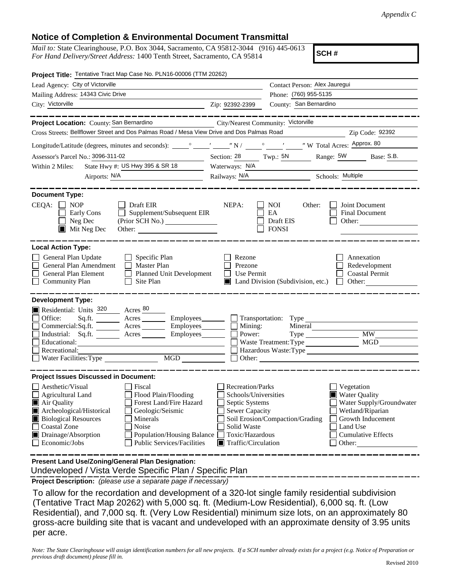## **Notice of Completion & Environmental Document Transmittal**

*Mail to:* State Clearinghouse, P.O. Box 3044, Sacramento, CA 95812-3044 (916) 445-0613 *For Hand Delivery/Street Address:* 1400 Tenth Street, Sacramento, CA 95814

**SCH #**

| Project Title: Tentative Tract Map Case No. PLN16-00006 (TTM 20262)                                                                                                                                                                                                                                                                                                                                            |                                                                                                                                                                                                                                                                                                                                                              |
|----------------------------------------------------------------------------------------------------------------------------------------------------------------------------------------------------------------------------------------------------------------------------------------------------------------------------------------------------------------------------------------------------------------|--------------------------------------------------------------------------------------------------------------------------------------------------------------------------------------------------------------------------------------------------------------------------------------------------------------------------------------------------------------|
| Lead Agency: City of Victorville                                                                                                                                                                                                                                                                                                                                                                               | Contact Person: Alex Jauregui                                                                                                                                                                                                                                                                                                                                |
| Mailing Address: 14343 Civic Drive                                                                                                                                                                                                                                                                                                                                                                             | Phone: (760) 955-5135                                                                                                                                                                                                                                                                                                                                        |
| City: Victorville<br><u> 1989 - Johann Barn, fransk politik amerikansk politik (</u>                                                                                                                                                                                                                                                                                                                           | County: San Bernardino<br>Zip: 92392-2399                                                                                                                                                                                                                                                                                                                    |
| ______                                                                                                                                                                                                                                                                                                                                                                                                         |                                                                                                                                                                                                                                                                                                                                                              |
| Project Location: County: San Bernardino                                                                                                                                                                                                                                                                                                                                                                       | City/Nearest Community: Victorville                                                                                                                                                                                                                                                                                                                          |
| Cross Streets: Bellflower Street and Dos Palmas Road / Mesa View Drive and Dos Palmas Road                                                                                                                                                                                                                                                                                                                     | Zip Code: 92392                                                                                                                                                                                                                                                                                                                                              |
|                                                                                                                                                                                                                                                                                                                                                                                                                |                                                                                                                                                                                                                                                                                                                                                              |
| Assessor's Parcel No.: 3096-311-02<br><u> 1989 - Johann Barbara, martin e</u>                                                                                                                                                                                                                                                                                                                                  | Section: 28 Twp.: 5N Range: 5W Base: S.B.                                                                                                                                                                                                                                                                                                                    |
| State Hwy #: US Hwy 395 & SR 18<br>Within 2 Miles:                                                                                                                                                                                                                                                                                                                                                             | Waterways: N/A                                                                                                                                                                                                                                                                                                                                               |
| Airports: N/A<br><u> 1980 - Johann Barbara, martin a</u>                                                                                                                                                                                                                                                                                                                                                       | Railways: N/A Schools: Multiple                                                                                                                                                                                                                                                                                                                              |
|                                                                                                                                                                                                                                                                                                                                                                                                                |                                                                                                                                                                                                                                                                                                                                                              |
| <b>Document Type:</b><br>$CEQA: \Box NP$<br>$\Box$ Draft EIR<br>$\Box$ Supplement/Subsequent EIR<br>Early Cons<br>Neg Dec<br>$\blacksquare$<br>$\blacksquare$ Mit Neg Dec<br>Other:                                                                                                                                                                                                                            | NEPA:<br>Other:<br>Joint Document<br>NOI<br>EA<br><b>Final Document</b><br>Draft EIS<br>Other:<br><b>FONSI</b>                                                                                                                                                                                                                                               |
| <b>Local Action Type:</b><br>General Plan Update<br>$\Box$ Specific Plan<br>General Plan Amendment<br>$\Box$ Master Plan<br>General Plan Element<br>Planned Unit Development<br><b>Community Plan</b><br>$\Box$ Site Plan                                                                                                                                                                                      | $\Box$ Rezone<br>Annexation<br>Prezone<br>Redevelopment<br>Use Permit<br><b>Coastal Permit</b><br>$\perp$<br>$\Box$ Land Division (Subdivision, etc.) $\Box$ Other:                                                                                                                                                                                          |
| <b>Development Type:</b><br>Residential: Units 320 Acres 80<br>Office:<br>Commercial:Sq.ft. ________ Acres _________ Employees ________ __ Mining:<br>Industrial: Sq.ft. _______ Acres _______ Employees _______ $\Box$<br>Educational:<br>Recreational:<br>Water Facilities: Type MGD                                                                                                                         | Sq.ft. ________ Acres _________ Employees _______ __ __ Transportation: Type ___________<br>Mineral<br><b>MW</b><br>Power:<br>Type<br>MGD<br>Waste Treatment: Type<br>Hazardous Waste: Type                                                                                                                                                                  |
| <b>Project Issues Discussed in Document:</b><br>Aesthetic/Visual<br>Fiscal<br>Flood Plain/Flooding<br>Agricultural Land<br>Forest Land/Fire Hazard<br>Air Quality<br>Archeological/Historical<br>Geologic/Seismic<br><b>Biological Resources</b><br>Minerals<br>Noise<br><b>Coastal Zone</b><br>Drainage/Absorption<br><b>Population/Housing Balance</b><br>Economic/Jobs<br><b>Public Services/Facilities</b> | Recreation/Parks<br>Vegetation<br><b>Water Quality</b><br>Schools/Universities<br>Septic Systems<br>Water Supply/Groundwater<br><b>Sewer Capacity</b><br>Wetland/Riparian<br>Soil Erosion/Compaction/Grading<br>Growth Inducement<br>Solid Waste<br>Land Use<br>Toxic/Hazardous<br><b>Cumulative Effects</b><br>$\blacksquare$ Traffic/Circulation<br>Other: |
| Present Land Use/Zoning/General Plan Designation:                                                                                                                                                                                                                                                                                                                                                              |                                                                                                                                                                                                                                                                                                                                                              |

Undeveloped / Vista Verde Specific Plan / Specific Plan

**Project Description:** *(please use a separate page if necessary)*

 To allow for the recordation and development of a 320-lot single family residential subdivision (Tentative Tract Map 20262) with 5,000 sq. ft. (Medium-Low Residential), 6,000 sq. ft. (Low Residential), and 7,000 sq. ft. (Very Low Residential) minimum size lots, on an approximately 80 gross-acre building site that is vacant and undeveloped with an approximate density of 3.95 units per acre.

*Note: The State Clearinghouse will assign identification numbers for all new projects. If a SCH number already exists for a project (e.g. Notice of Preparation or previous draft document) please fill in.*